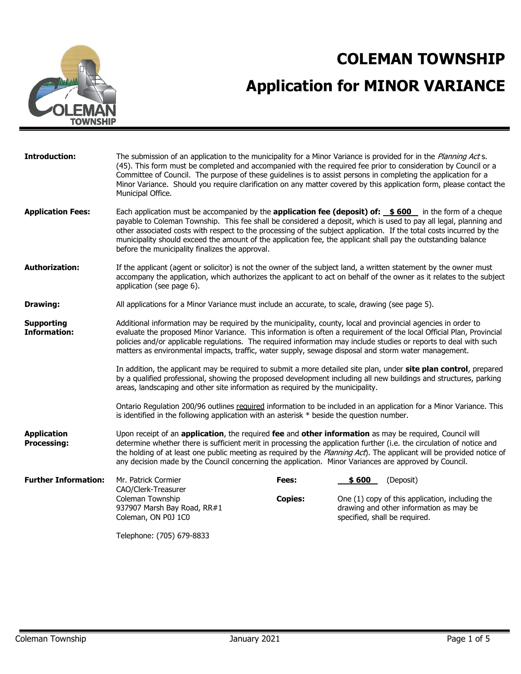

# **COLEMAN TOWNSHIP Application for MINOR VARIANCE**

| <b>Introduction:</b>                     | The submission of an application to the municipality for a Minor Variance is provided for in the Planning Act s.<br>(45). This form must be completed and accompanied with the required fee prior to consideration by Council or a<br>Committee of Council. The purpose of these guidelines is to assist persons in completing the application for a<br>Minor Variance. Should you require clarification on any matter covered by this application form, please contact the<br>Municipal Office.                                |                |        |                                                                                                                             |
|------------------------------------------|---------------------------------------------------------------------------------------------------------------------------------------------------------------------------------------------------------------------------------------------------------------------------------------------------------------------------------------------------------------------------------------------------------------------------------------------------------------------------------------------------------------------------------|----------------|--------|-----------------------------------------------------------------------------------------------------------------------------|
| <b>Application Fees:</b>                 | Each application must be accompanied by the <b>application fee (deposit) of: \$600</b> in the form of a cheque<br>payable to Coleman Township. This fee shall be considered a deposit, which is used to pay all legal, planning and<br>other associated costs with respect to the processing of the subject application. If the total costs incurred by the<br>municipality should exceed the amount of the application fee, the applicant shall pay the outstanding balance<br>before the municipality finalizes the approval. |                |        |                                                                                                                             |
| <b>Authorization:</b>                    | If the applicant (agent or solicitor) is not the owner of the subject land, a written statement by the owner must<br>accompany the application, which authorizes the applicant to act on behalf of the owner as it relates to the subject<br>application (see page 6).                                                                                                                                                                                                                                                          |                |        |                                                                                                                             |
| Drawing:                                 | All applications for a Minor Variance must include an accurate, to scale, drawing (see page 5).                                                                                                                                                                                                                                                                                                                                                                                                                                 |                |        |                                                                                                                             |
| <b>Supporting</b><br><b>Information:</b> | Additional information may be required by the municipality, county, local and provincial agencies in order to<br>evaluate the proposed Minor Variance. This information is often a requirement of the local Official Plan, Provincial<br>policies and/or applicable regulations. The required information may include studies or reports to deal with such<br>matters as environmental impacts, traffic, water supply, sewage disposal and storm water management.                                                              |                |        |                                                                                                                             |
|                                          | In addition, the applicant may be required to submit a more detailed site plan, under site plan control, prepared<br>by a qualified professional, showing the proposed development including all new buildings and structures, parking<br>areas, landscaping and other site information as required by the municipality.                                                                                                                                                                                                        |                |        |                                                                                                                             |
|                                          | Ontario Regulation 200/96 outlines required information to be included in an application for a Minor Variance. This<br>is identified in the following application with an asterisk $*$ beside the question number.                                                                                                                                                                                                                                                                                                              |                |        |                                                                                                                             |
| <b>Application</b><br><b>Processing:</b> | Upon receipt of an application, the required fee and other information as may be required, Council will<br>determine whether there is sufficient merit in processing the application further (i.e. the circulation of notice and<br>the holding of at least one public meeting as required by the Planning Act). The applicant will be provided notice of<br>any decision made by the Council concerning the application. Minor Variances are approved by Council.                                                              |                |        |                                                                                                                             |
| <b>Further Information:</b>              | Mr. Patrick Cormier                                                                                                                                                                                                                                                                                                                                                                                                                                                                                                             | Fees:          | \$ 600 | (Deposit)                                                                                                                   |
|                                          | CAO/Clerk-Treasurer<br>Coleman Township<br>937907 Marsh Bay Road, RR#1<br>Coleman, ON P0J 1C0                                                                                                                                                                                                                                                                                                                                                                                                                                   | <b>Copies:</b> |        | One (1) copy of this application, including the<br>drawing and other information as may be<br>specified, shall be required. |
|                                          | Telephone: (705) 679-8833                                                                                                                                                                                                                                                                                                                                                                                                                                                                                                       |                |        |                                                                                                                             |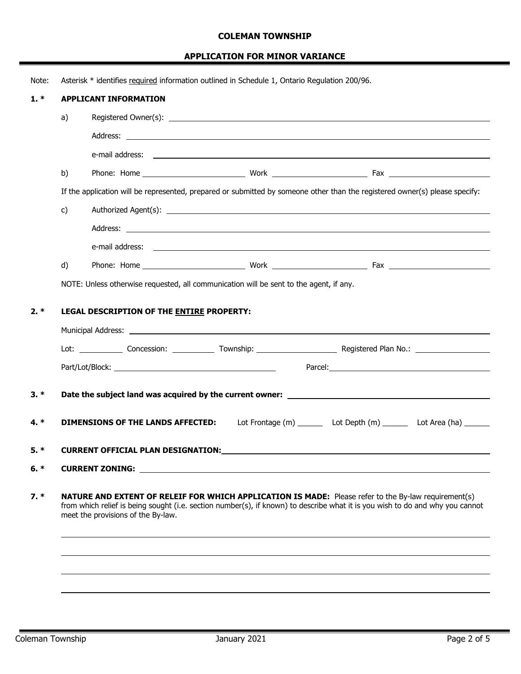#### **COLEMAN TOWNSHIP**

## **APPLICATION FOR MINOR VARIANCE**

| Note:  |              | Asterisk * identifies required information outlined in Schedule 1, Ontario Requlation 200/96.                                                                                                                                                                               |
|--------|--------------|-----------------------------------------------------------------------------------------------------------------------------------------------------------------------------------------------------------------------------------------------------------------------------|
| $1. *$ |              | <b>APPLICANT INFORMATION</b>                                                                                                                                                                                                                                                |
|        | a)           |                                                                                                                                                                                                                                                                             |
|        |              | Address: <u>the contract of the contract of the contract of the contract of the contract of the contract of the contract of the contract of the contract of the contract of the contract of the contract of the contract of the </u>                                        |
|        |              |                                                                                                                                                                                                                                                                             |
|        | b)           |                                                                                                                                                                                                                                                                             |
|        |              | If the application will be represented, prepared or submitted by someone other than the registered owner(s) please specify:                                                                                                                                                 |
|        | $\mathsf{c}$ |                                                                                                                                                                                                                                                                             |
|        |              |                                                                                                                                                                                                                                                                             |
|        |              |                                                                                                                                                                                                                                                                             |
|        | d)           |                                                                                                                                                                                                                                                                             |
|        |              | NOTE: Unless otherwise requested, all communication will be sent to the agent, if any.                                                                                                                                                                                      |
|        |              |                                                                                                                                                                                                                                                                             |
| $2. *$ |              | LEGAL DESCRIPTION OF THE ENTIRE PROPERTY:                                                                                                                                                                                                                                   |
|        |              | Municipal Address: Number of Address and Address and Address and Address and Address and Address and Address and Address and Address and Address and Address and Address and Address and Address and Address and Address and A                                              |
|        |              |                                                                                                                                                                                                                                                                             |
|        |              |                                                                                                                                                                                                                                                                             |
| $3. *$ |              |                                                                                                                                                                                                                                                                             |
|        |              |                                                                                                                                                                                                                                                                             |
| $4.*$  |              | Lot Frontage (m) ________ Lot Depth (m) _______ Lot Area (ha) ______<br><b>DIMENSIONS OF THE LANDS AFFECTED:</b>                                                                                                                                                            |
| 5. *   |              |                                                                                                                                                                                                                                                                             |
|        |              |                                                                                                                                                                                                                                                                             |
| $6. *$ |              | CURRENT ZONING: University of the contract of the contract of the contract of the contract of the contract of the contract of the contract of the contract of the contract of the contract of the contract of the contract of                                               |
| $7. *$ |              | NATURE AND EXTENT OF RELEIF FOR WHICH APPLICATION IS MADE: Please refer to the By-law requirement(s)<br>from which relief is being sought (i.e. section number(s), if known) to describe what it is you wish to do and why you cannot<br>meet the provisions of the By-law. |
|        |              |                                                                                                                                                                                                                                                                             |
|        |              |                                                                                                                                                                                                                                                                             |
|        |              |                                                                                                                                                                                                                                                                             |
|        |              |                                                                                                                                                                                                                                                                             |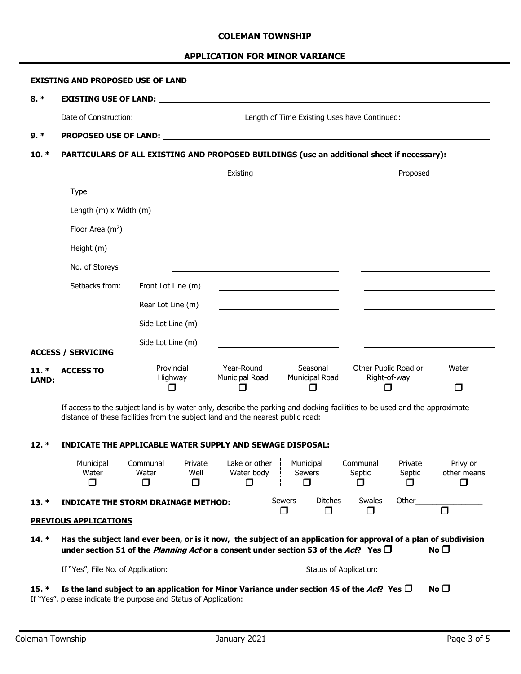#### **COLEMAN TOWNSHIP**

#### **APPLICATION FOR MINOR VARIANCE**

## **EXISTING AND PROPOSED USE OF LAND**

#### **8. \* EXISTING USE OF LAND:**

Date of Construction: Length of Time Existing Uses have Continued:

#### **9. \* PROPOSED USE OF LAND:**

#### **10. \* PARTICULARS OF ALL EXISTING AND PROPOSED BUILDINGS (use an additional sheet if necessary):**

|                  |                           |                                 | Existing                     |                                 | Proposed                                    |                        |
|------------------|---------------------------|---------------------------------|------------------------------|---------------------------------|---------------------------------------------|------------------------|
|                  | <b>Type</b>               |                                 |                              |                                 |                                             |                        |
|                  | Length (m) x Width (m)    |                                 |                              |                                 |                                             |                        |
|                  | Floor Area $(m^2)$        |                                 |                              |                                 |                                             |                        |
|                  | Height (m)                |                                 |                              |                                 |                                             |                        |
|                  | No. of Storeys            |                                 |                              |                                 |                                             |                        |
|                  | Setbacks from:            | Front Lot Line (m)              |                              |                                 |                                             |                        |
|                  |                           | Rear Lot Line (m)               |                              |                                 |                                             |                        |
|                  |                           | Side Lot Line (m)               |                              |                                 |                                             |                        |
|                  | <b>ACCESS / SERVICING</b> | Side Lot Line (m)               |                              |                                 |                                             |                        |
| $11. *$<br>LAND: | <b>ACCESS TO</b>          | Provincial<br>Highway<br>$\Box$ | Year-Round<br>Municipal Road | Seasonal<br>Municipal Road<br>П | Other Public Road or<br>Right-of-way<br>n l | Water<br>$\mathcal{L}$ |

If access to the subject land is by water only, describe the parking and docking facilities to be used and the approximate distance of these facilities from the subject land and the nearest public road:

### **12. \* INDICATE THE APPLICABLE WATER SUPPLY AND SEWAGE DISPOSAL:**

|         | Municipal<br>Water<br>П                                                                                                                                                                                               | Communal<br>Water<br>П | Private<br>Well | Lake or other<br>Water body<br>⊓ |               | Municipal<br><b>Sewers</b> | Communal<br>Septic | Private<br>Septic | Privy or<br>other means |
|---------|-----------------------------------------------------------------------------------------------------------------------------------------------------------------------------------------------------------------------|------------------------|-----------------|----------------------------------|---------------|----------------------------|--------------------|-------------------|-------------------------|
| $13. *$ | <b>INDICATE THE STORM DRAINAGE METHOD:</b>                                                                                                                                                                            |                        |                 |                                  | <b>Sewers</b> | <b>Ditches</b>             | <b>Swales</b>      | Other             |                         |
|         | <b>PREVIOUS APPLICATIONS</b>                                                                                                                                                                                          |                        |                 |                                  |               |                            |                    |                   |                         |
| 14. *   | Has the subject land ever been, or is it now, the subject of an application for approval of a plan of subdivision<br>under section 51 of the <i>Planning Act</i> or a consent under section 53 of the Act? Yes $\Box$ |                        |                 |                                  |               |                            |                    |                   | No $\square$            |
|         |                                                                                                                                                                                                                       |                        |                 |                                  |               |                            |                    |                   |                         |
| 15 *    | Is the land subject to an application for Minor Variance under section 45 of the $\Lambda$ ct Ves $\Pi$                                                                                                               |                        |                 |                                  |               |                            |                    |                   | $N \cap \Box$           |

**15.**  $*$  **Is the land subject to an application for Minor Variance under section 45 of the** *Act***? Yes**  $\Box$  **No**  $\Box$ If "Yes", please indicate the purpose and Status of Application: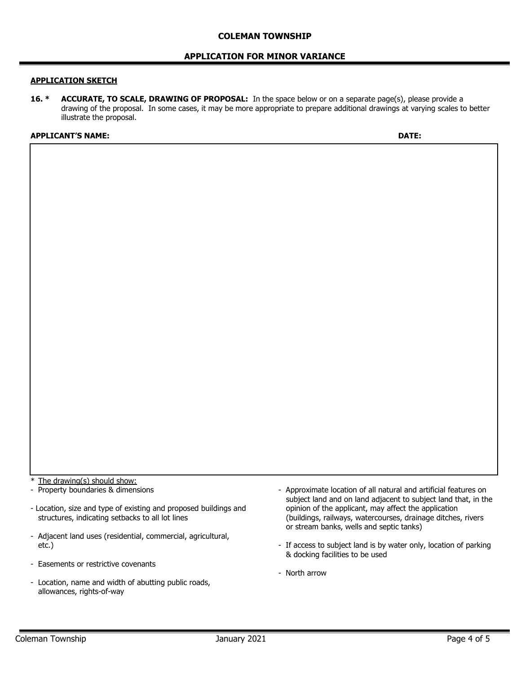#### **APPLICATION FOR MINOR VARIANCE**

#### **APPLICATION SKETCH**

**16. \* ACCURATE, TO SCALE, DRAWING OF PROPOSAL:** In the space below or on a separate page(s), please provide a drawing of the proposal. In some cases, it may be more appropriate to prepare additional drawings at varying scales to better illustrate the proposal.

#### **APPLICANT'S NAME: DATE:**

\* The drawing(s) should show:

- Property boundaries & dimensions

- Location, size and type of existing and proposed buildings and structures, indicating setbacks to all lot lines
- Adjacent land uses (residential, commercial, agricultural, etc.)
- Easements or restrictive covenants
- Location, name and width of abutting public roads, allowances, rights-of-way
- Approximate location of all natural and artificial features on subject land and on land adjacent to subject land that, in the opinion of the applicant, may affect the application (buildings, railways, watercourses, drainage ditches, rivers or stream banks, wells and septic tanks)
- If access to subject land is by water only, location of parking & docking facilities to be used
- North arrow